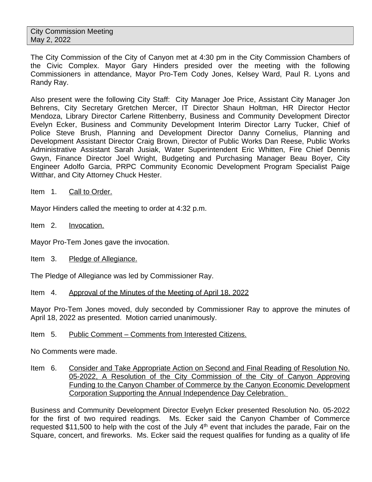The City Commission of the City of Canyon met at 4:30 pm in the City Commission Chambers of the Civic Complex. Mayor Gary Hinders presided over the meeting with the following Commissioners in attendance, Mayor Pro-Tem Cody Jones, Kelsey Ward, Paul R. Lyons and Randy Ray.

Also present were the following City Staff: City Manager Joe Price, Assistant City Manager Jon Behrens, City Secretary Gretchen Mercer, IT Director Shaun Holtman, HR Director Hector Mendoza, Library Director Carlene Rittenberry, Business and Community Development Director Evelyn Ecker, Business and Community Development Interim Director Larry Tucker, Chief of Police Steve Brush, Planning and Development Director Danny Cornelius, Planning and Development Assistant Director Craig Brown, Director of Public Works Dan Reese, Public Works Administrative Assistant Sarah Jusiak, Water Superintendent Eric Whitten, Fire Chief Dennis Gwyn, Finance Director Joel Wright, Budgeting and Purchasing Manager Beau Boyer, City Engineer Adolfo Garcia, PRPC Community Economic Development Program Specialist Paige Witthar, and City Attorney Chuck Hester.

Item 1. Call to Order.

Mayor Hinders called the meeting to order at 4:32 p.m.

- Item 2. Invocation.
- Mayor Pro-Tem Jones gave the invocation.
- Item 3. Pledge of Allegiance.

The Pledge of Allegiance was led by Commissioner Ray.

Item 4. Approval of the Minutes of the Meeting of April 18, 2022

Mayor Pro-Tem Jones moved, duly seconded by Commissioner Ray to approve the minutes of April 18, 2022 as presented. Motion carried unanimously.

Item 5. Public Comment – Comments from Interested Citizens.

No Comments were made.

Item 6. Consider and Take Appropriate Action on Second and Final Reading of Resolution No. 05-2022, A Resolution of the City Commission of the City of Canyon Approving Funding to the Canyon Chamber of Commerce by the Canyon Economic Development Corporation Supporting the Annual Independence Day Celebration.

Business and Community Development Director Evelyn Ecker presented Resolution No. 05-2022 for the first of two required readings. Ms. Ecker said the Canyon Chamber of Commerce requested \$11,500 to help with the cost of the July  $4<sup>th</sup>$  event that includes the parade, Fair on the Square, concert, and fireworks. Ms. Ecker said the request qualifies for funding as a quality of life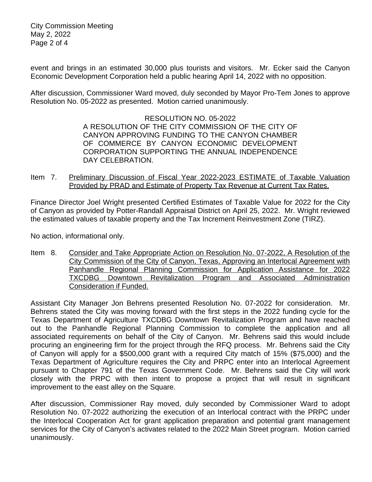City Commission Meeting May 2, 2022 Page 2 of 4

event and brings in an estimated 30,000 plus tourists and visitors. Mr. Ecker said the Canyon Economic Development Corporation held a public hearing April 14, 2022 with no opposition.

After discussion, Commissioner Ward moved, duly seconded by Mayor Pro-Tem Jones to approve Resolution No. 05-2022 as presented. Motion carried unanimously.

> RESOLUTION NO. 05-2022 A RESOLUTION OF THE CITY COMMISSION OF THE CITY OF CANYON APPROVING FUNDING TO THE CANYON CHAMBER OF COMMERCE BY CANYON ECONOMIC DEVELOPMENT CORPORATION SUPPORTING THE ANNUAL INDEPENDENCE DAY CELEBRATION.

Item 7. Preliminary Discussion of Fiscal Year 2022-2023 ESTIMATE of Taxable Valuation Provided by PRAD and Estimate of Property Tax Revenue at Current Tax Rates.

Finance Director Joel Wright presented Certified Estimates of Taxable Value for 2022 for the City of Canyon as provided by Potter-Randall Appraisal District on April 25, 2022. Mr. Wright reviewed the estimated values of taxable property and the Tax Increment Reinvestment Zone (TIRZ).

No action, informational only.

Item 8. Consider and Take Appropriate Action on Resolution No. 07-2022, A Resolution of the City Commission of the City of Canyon, Texas, Approving an Interlocal Agreement with Panhandle Regional Planning Commission for Application Assistance for 2022 TXCDBG Downtown Revitalization Program and Associated Administration Consideration if Funded.

Assistant City Manager Jon Behrens presented Resolution No. 07-2022 for consideration. Mr. Behrens stated the City was moving forward with the first steps in the 2022 funding cycle for the Texas Department of Agriculture TXCDBG Downtown Revitalization Program and have reached out to the Panhandle Regional Planning Commission to complete the application and all associated requirements on behalf of the City of Canyon. Mr. Behrens said this would include procuring an engineering firm for the project through the RFQ process. Mr. Behrens said the City of Canyon will apply for a \$500,000 grant with a required City match of 15% (\$75,000) and the Texas Department of Agriculture requires the City and PRPC enter into an Interlocal Agreement pursuant to Chapter 791 of the Texas Government Code. Mr. Behrens said the City will work closely with the PRPC with then intent to propose a project that will result in significant improvement to the east alley on the Square.

After discussion, Commissioner Ray moved, duly seconded by Commissioner Ward to adopt Resolution No. 07-2022 authorizing the execution of an Interlocal contract with the PRPC under the Interlocal Cooperation Act for grant application preparation and potential grant management services for the City of Canyon's activates related to the 2022 Main Street program. Motion carried unanimously.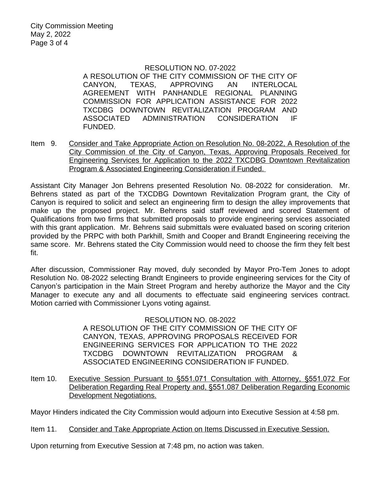## RESOLUTION NO. 07-2022

A RESOLUTION OF THE CITY COMMISSION OF THE CITY OF CANYON, TEXAS, APPROVING AN INTERLOCAL AGREEMENT WITH PANHANDLE REGIONAL PLANNING COMMISSION FOR APPLICATION ASSISTANCE FOR 2022 TXCDBG DOWNTOWN REVITALIZATION PROGRAM AND ASSOCIATED ADMINISTRATION CONSIDERATION IF FUNDED.

Item 9. Consider and Take Appropriate Action on Resolution No. 08-2022, A Resolution of the City Commission of the City of Canyon, Texas, Approving Proposals Received for Engineering Services for Application to the 2022 TXCDBG Downtown Revitalization Program & Associated Engineering Consideration if Funded.

Assistant City Manager Jon Behrens presented Resolution No. 08-2022 for consideration. Mr. Behrens stated as part of the TXCDBG Downtown Revitalization Program grant, the City of Canyon is required to solicit and select an engineering firm to design the alley improvements that make up the proposed project. Mr. Behrens said staff reviewed and scored Statement of Qualifications from two firms that submitted proposals to provide engineering services associated with this grant application. Mr. Behrens said submittals were evaluated based on scoring criterion provided by the PRPC with both Parkhill, Smith and Cooper and Brandt Engineering receiving the same score. Mr. Behrens stated the City Commission would need to choose the firm they felt best fit.

After discussion, Commissioner Ray moved, duly seconded by Mayor Pro-Tem Jones to adopt Resolution No. 08-2022 selecting Brandt Engineers to provide engineering services for the City of Canyon's participation in the Main Street Program and hereby authorize the Mayor and the City Manager to execute any and all documents to effectuate said engineering services contract. Motion carried with Commissioner Lyons voting against.

## RESOLUTION NO. 08-2022

A RESOLUTION OF THE CITY COMMISSION OF THE CITY OF CANYON, TEXAS, APPROVING PROPOSALS RECEIVED FOR ENGINEERING SERVICES FOR APPLICATION TO THE 2022 TXCDBG DOWNTOWN REVITALIZATION PROGRAM & ASSOCIATED ENGINEERING CONSIDERATION IF FUNDED.

Item 10. Executive Session Pursuant to §551.071 Consultation with Attorney, §551.072 For Deliberation Regarding Real Property and, §551.087 Deliberation Regarding Economic Development Negotiations.

Mayor Hinders indicated the City Commission would adjourn into Executive Session at 4:58 pm.

Item 11. Consider and Take Appropriate Action on Items Discussed in Executive Session.

Upon returning from Executive Session at 7:48 pm, no action was taken.